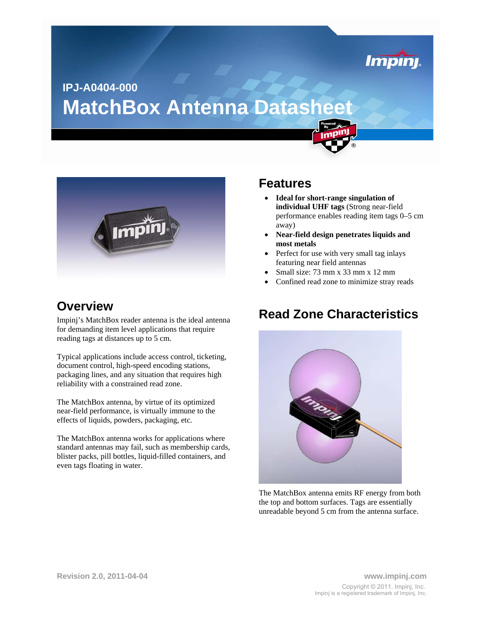

# **MatchBox Antenna Datasheet IPJ-A0404-000**



### **Overview**

Impinj's MatchBox reader antenna is the ideal antenna for demanding item level applications that require reading tags at distances up to 5 cm.

Typical applications include access control, ticketing, document control, high-speed encoding stations, packaging lines, and any situation that requires high reliability with a constrained read zone.

The MatchBox antenna, by virtue of its optimized near-field performance, is virtually immune to the effects of liquids, powders, packaging, etc.

The MatchBox antenna works for applications where standard antennas may fail, such as membership cards, blister packs, pill bottles, liquid-filled containers, and even tags floating in water.

### **Features**

- **Ideal for short-range singulation of individual UHF tags** (Strong near-field performance enables reading item tags 0–5 cm away)
- **Near-field design penetrates liquids and most metals**
- Perfect for use with very small tag inlays featuring near field antennas
- Small size: 73 mm x 33 mm x 12 mm
- Confined read zone to minimize stray reads

### **Read Zone Characteristics**



The MatchBox antenna emits RF energy from both the top and bottom surfaces. Tags are essentially unreadable beyond 5 cm from the antenna surface.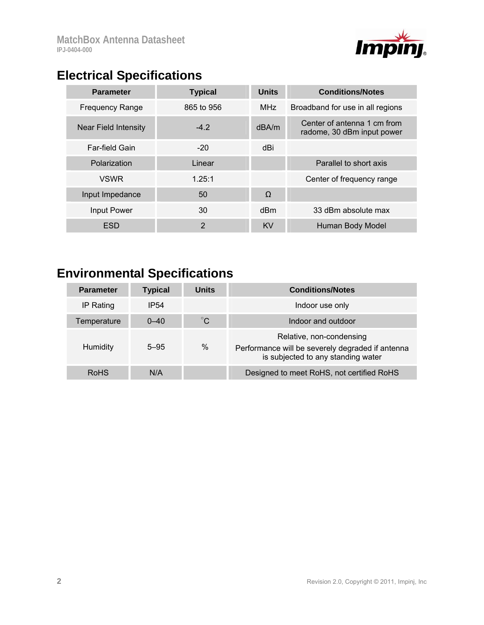

## **Electrical Specifications**

| <b>Parameter</b>       | <b>Typical</b> | <b>Units</b> | <b>Conditions/Notes</b>                                   |
|------------------------|----------------|--------------|-----------------------------------------------------------|
| <b>Frequency Range</b> | 865 to 956     | <b>MHz</b>   | Broadband for use in all regions                          |
| Near Field Intensity   | $-4.2$         | dBA/m        | Center of antenna 1 cm from<br>radome, 30 dBm input power |
| <b>Far-field Gain</b>  | $-20$          | dBi          |                                                           |
| Polarization           | Linear         |              | Parallel to short axis                                    |
| <b>VSWR</b>            | 1.25:1         |              | Center of frequency range                                 |
| Input Impedance        | 50             | $\Omega$     |                                                           |
| Input Power            | 30             | dBm          | 33 dBm absolute max                                       |
| <b>ESD</b>             | 2              | <b>KV</b>    | Human Body Model                                          |

# **Environmental Specifications**

| <b>Parameter</b> | <b>Typical</b>   | <b>Units</b> | <b>Conditions/Notes</b>                                                                                            |
|------------------|------------------|--------------|--------------------------------------------------------------------------------------------------------------------|
| IP Rating        | IP <sub>54</sub> |              | Indoor use only                                                                                                    |
| Temperature      | $0 - 40$         | $^{\circ}$ C | Indoor and outdoor                                                                                                 |
| Humidity         | $5 - 95$         | $\%$         | Relative, non-condensing<br>Performance will be severely degraded if antenna<br>is subjected to any standing water |
| <b>RoHS</b>      | N/A              |              | Designed to meet RoHS, not certified RoHS                                                                          |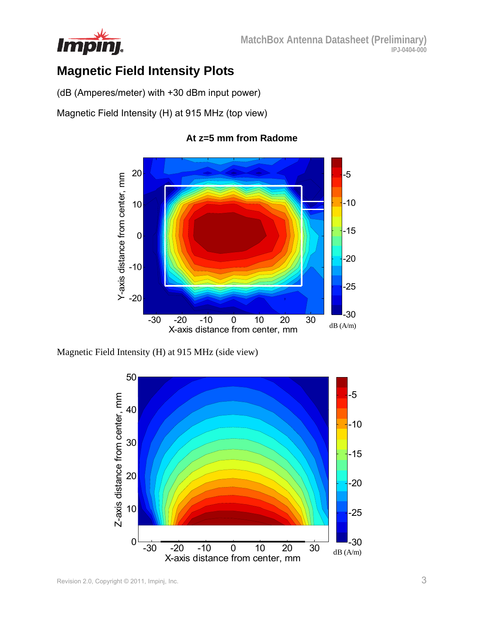

## **Magnetic Field Intensity Plots**

(dB (Amperes/meter) with +30 dBm input power)

Magnetic Field Intensity (H) at 915 MHz (top view)



#### **At z=5 mm from Radome**

Magnetic Field Intensity (H) at 915 MHz (side view)

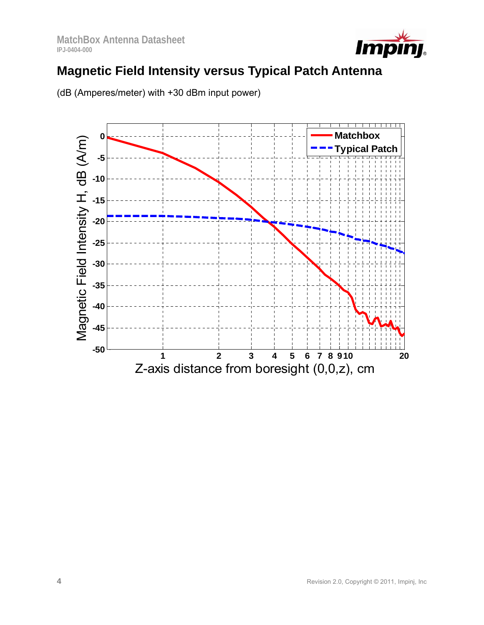

## **Magnetic Field Intensity versus Typical Patch Antenna**



(dB (Amperes/meter) with +30 dBm input power)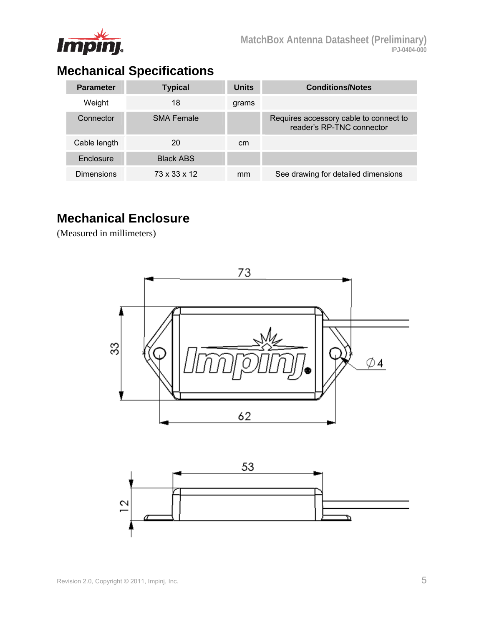

# **Mechanical Specifications**

| <b>Parameter</b> | <b>Typical</b>    | <b>Units</b> | <b>Conditions/Notes</b>                                             |
|------------------|-------------------|--------------|---------------------------------------------------------------------|
| Weight           | 18                | grams        |                                                                     |
| Connector        | <b>SMA Female</b> |              | Requires accessory cable to connect to<br>reader's RP-TNC connector |
| Cable length     | 20                | cm           |                                                                     |
| Enclosure        | <b>Black ABS</b>  |              |                                                                     |
| Dimensions       | 73 x 33 x 12      | mm           | See drawing for detailed dimensions                                 |

### **Mechanical Enclosure**

(Measured in millimeters)